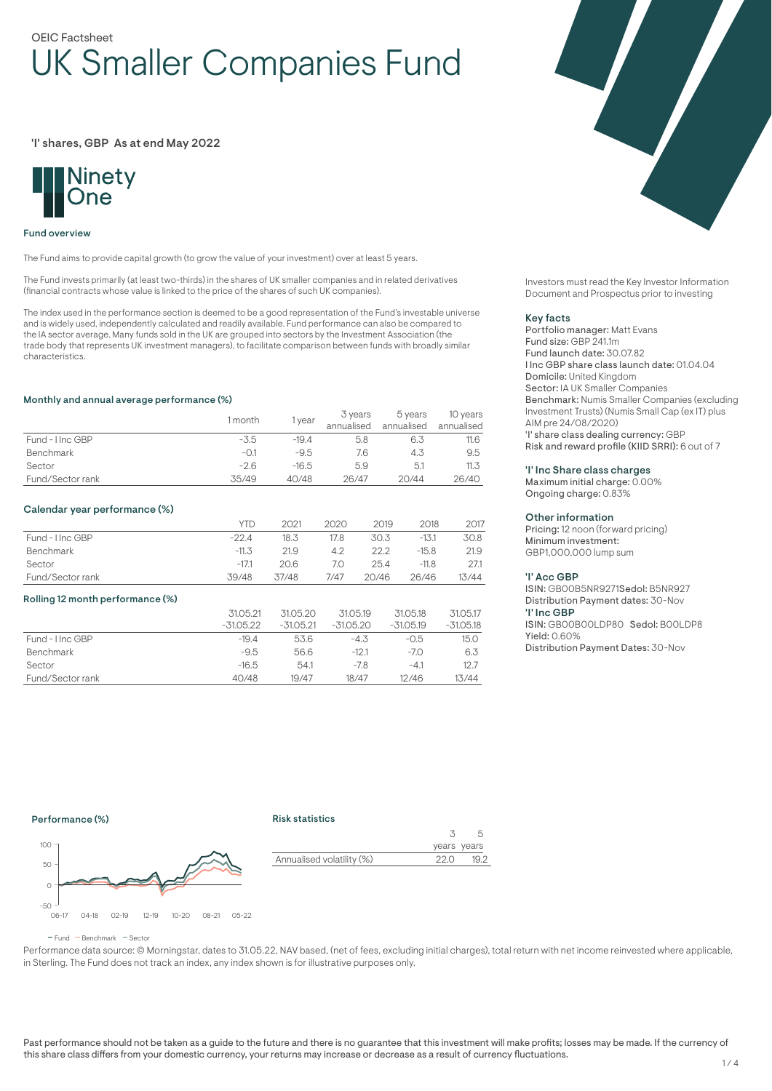# OEIC Factsheet UK Smaller Companies Fund

## 'I' shares, GBP As at end May 2022



#### Fund overview

The Fund aims to provide capital growth (to grow the value of your investment) over at least 5 years.

The Fund invests primarily (at least two-thirds) in the shares of UK smaller companies and in related derivatives (financial contracts whose value is linked to the price of the shares of such UK companies).

The index used in the performance section is deemed to be a good representation of the Fund's investable universe and is widely used, independently calculated and readily available. Fund performance can also be compared to the IA sector average. Many funds sold in the UK are grouped into sectors by the Investment Association (the trade body that represents UK investment managers), to facilitate comparison between funds with broadly similar characteristics.

#### Monthly and annual average performance (%)

|                  | 1 month | <b>year</b> | 3 years<br>annualised | 5 years<br>annualised | 10 years<br>annualised |
|------------------|---------|-------------|-----------------------|-----------------------|------------------------|
| Fund - I Inc GBP | -3.5    | $-19.4$     | 5.8                   | 6.3                   | 11.6                   |
| <b>Benchmark</b> | -0.1    | $-9.5$      | 7.6                   | 4.3                   | 9.5                    |
| Sector           | $-2.6$  | $-16.5$     | 5.9                   | 5.1                   | 11.3                   |
| Fund/Sector rank | 35/49   | 40/48       | 26/47                 | 20/44                 | 26/40                  |

#### Calendar year performance (%)

|                  | <b>YTD</b> | 2021  | 2020 | 2019  | 2018    | 2017  |
|------------------|------------|-------|------|-------|---------|-------|
| Fund - I Inc GBP | $-22.4$    | 18.3  | 17.8 | 30.3  | $-13.1$ | 30.8  |
| Benchmark        | $-11.3$    | 21.9  | 4.2  | 22 2  | $-15.8$ | 21.9  |
| Sector           | $-17.1$    | 20.6  | 7.0  | 25.4  | $-11.8$ | 27.1  |
| Fund/Sector rank | 39/48      | 37/48 | 7/47 | 20/46 | 26/46   | 13/44 |

#### Rolling 12 month performance (%)

|                  | 31.05.21    | 31.05.20    | 31.05.19    | 31.05.18    | 31.05.17    |
|------------------|-------------|-------------|-------------|-------------|-------------|
|                  | $-31.05.22$ | $-31.05.21$ | $-31.05.20$ | $-31.05.19$ | $-31.05.18$ |
| Fund - Hnc GBP   | $-19.4$     | 53.6        | $-4.3$      | $-0.5$      | 15.0        |
| <b>Benchmark</b> | $-9.5$      | 56.6        | $-12.1$     | $-7.0$      | 6.3         |
| Sector           | $-16.5$     | 54.1        | $-7.8$      | $-4.1$      | 12.7        |
| Fund/Sector rank | 40/48       | 19/47       | 18/47       | 12/46       | 13/44       |



Investors must read the Key Investor Information Document and Prospectus prior to investing

#### Key facts

Portfolio manager: Matt Evans Fund size: GBP 241.1m Fund launch date: 30.07.82 I Inc GBP share class launch date: 01.04.04 Domicile: United Kingdom Sector: IA UK Smaller Companies Benchmark: Numis Smaller Companies (excluding Investment Trusts) (Numis Small Cap (ex IT) plus AIM pre 24/08/2020) 'I' share class dealing currency: GBP Risk and reward profile (KIID SRRI): 6 out of 7

#### 'I' Inc Share class charges

Maximum initial charge: 0.00% Ongoing charge: 0.83%

## Other information

Pricing: 12 noon (forward pricing) Minimum investment: GBP1,000,000 lump sum

#### 'I' Acc GBP

ISIN: GB00B5NR9271Sedol: B5NR927 Distribution Payment dates: 30-Nov 'I' Inc GBP ISIN: GB00B00LDP80 Sedol: B00LDP8 Yield: 0.60% Distribution Payment Dates: 30-Nov

## Performance (%)

#### Risk statistics



3 years years 5 Annualised volatility (%) 22.0 19.2

 $F$ und  $B$ Benchmark  $F$ Sector

Performance data source: © Morningstar, dates to 31.05.22, NAV based, (net of fees, excluding initial charges), total return with net income reinvested where applicable, in Sterling. The Fund does not track an index, any index shown is for illustrative purposes only.

Past performance should not be taken as a guide to the future and there is no guarantee that this investment will make profits; losses may be made. If the currency of this share class differs from your domestic currency, your returns may increase or decrease as a result of currency fluctuations.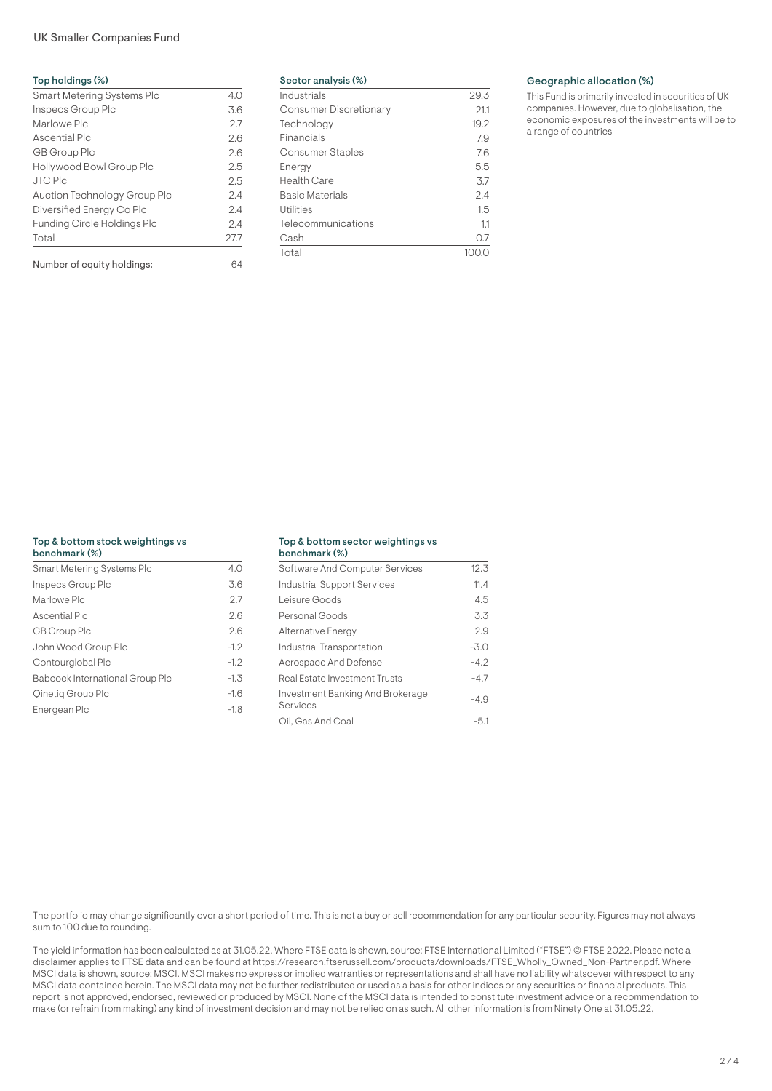## UK Smaller Companies Fund

| Top holdings (%)                   |      |
|------------------------------------|------|
| Smart Metering Systems Plc         | 4.0  |
| Inspecs Group Plc                  | 3.6  |
| Marlowe Plc                        | 27   |
| Ascential Plc                      | 2.6  |
| GB Group Plc                       | 2.6  |
| Hollywood Bowl Group Plc           | 2.5  |
| <b>JTC Plc</b>                     | 2.5  |
| Auction Technology Group Plc       | 2.4  |
| Diversified Energy Co Plc          | 2.4  |
| <b>Funding Circle Holdings Plc</b> | 2.4  |
| Total                              | 27.7 |
| Number of equity holdings:         | 64   |

| Sector analysis (%)           |      |
|-------------------------------|------|
| Industrials                   | 29.3 |
| <b>Consumer Discretionary</b> | 211  |
| Technology                    | 19.2 |
| Financials                    | 7.9  |
| <b>Consumer Staples</b>       | 7.6  |
| Energy                        | 5.5  |
| Health Care                   | 3.7  |
| Basic Materials               | 2.4  |
| <b>Utilities</b>              | 1.5  |
| Telecommunications            | 11   |
| Cash                          | O.7  |
| Total                         |      |

## Geographic allocation (%)

This Fund is primarily invested in securities of UK companies. However, due to globalisation, the economic exposures of the investments will be to a range of countries

## Top & bottom stock weightings vs

| benchmark (%)                   |        |
|---------------------------------|--------|
| Smart Metering Systems Plc      | 4.0    |
| Inspecs Group Plc               | 3.6    |
| Marlowe Plc                     | 2.7    |
| Ascential Plc                   | 2.6    |
| GB Group Plc                    | 2.6    |
| John Wood Group Plc             | $-1.2$ |
| Contourglobal Plc               | $-1.2$ |
| Babcock International Group Plc | $-1.3$ |
| Oinetig Group Plc               | $-1.6$ |
| Energean Plc                    | $-1.8$ |

#### Top & bottom sector weightings vs benchmark (%)

| 991191111101 N 1797                          |        |
|----------------------------------------------|--------|
| Software And Computer Services               | 12.3   |
| Industrial Support Services                  | 11.4   |
| Leisure Goods                                | 4.5    |
| Personal Goods                               | 3.3    |
| Alternative Energy                           | 29     |
| Industrial Transportation                    | $-3.0$ |
| Aerospace And Defense                        | $-4.2$ |
| Real Estate Investment Trusts                | $-4.7$ |
| Investment Banking And Brokerage<br>Services | -4.9   |
| Oil. Gas And Coal                            | $-5.1$ |

The portfolio may change significantly over a short period of time. This is not a buy or sell recommendation for any particular security. Figures may not always sum to 100 due to rounding.

The yield information has been calculated as at 31.05.22. Where FTSE data is shown, source: FTSE International Limited ("FTSE") © FTSE 2022. Please note a disclaimer applies to FTSE data and can be found at https://research.ftserussell.com/products/downloads/FTSE\_Wholly\_Owned\_Non-Partner.pdf. Where MSCI data is shown, source: MSCI. MSCI makes no express or implied warranties or representations and shall have no liability whatsoever with respect to any MSCI data contained herein. The MSCI data may not be further redistributed or used as a basis for other indices or any securities or financial products. This report is not approved, endorsed, reviewed or produced by MSCI. None of the MSCI data is intended to constitute investment advice or a recommendation to make (or refrain from making) any kind of investment decision and may not be relied on as such. All other information is from Ninety One at 31.05.22.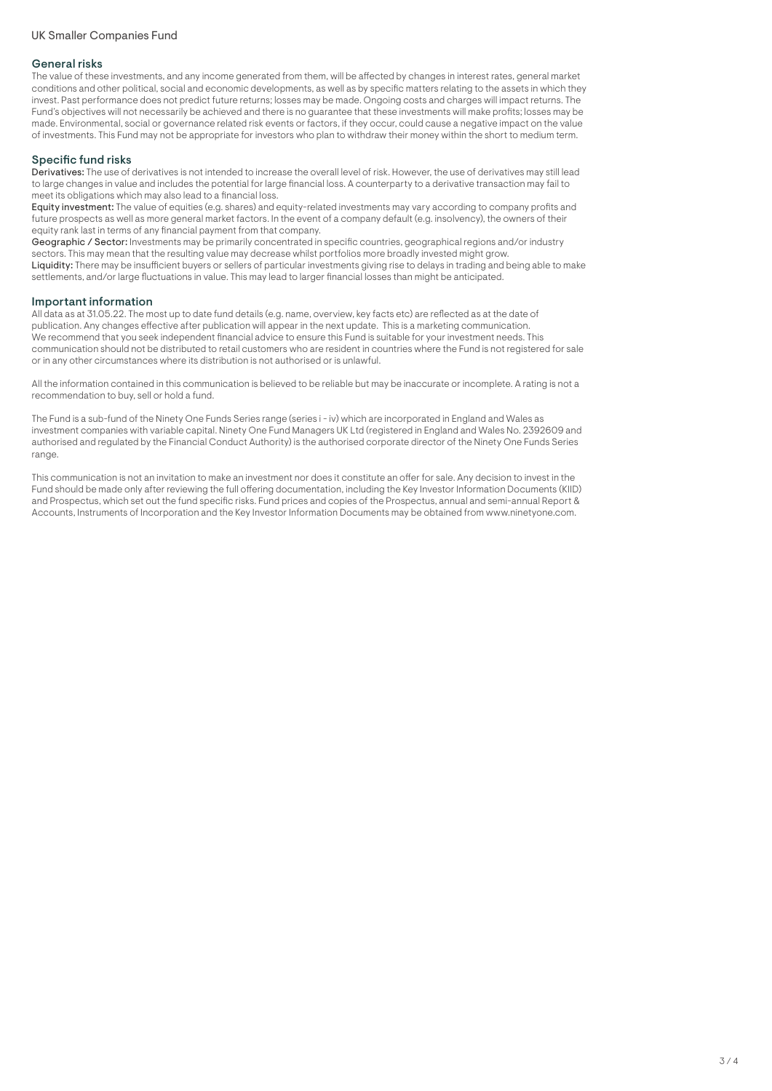## General risks

The value of these investments, and any income generated from them, will be affected by changes in interest rates, general market conditions and other political, social and economic developments, as well as by specific matters relating to the assets in which they invest. Past performance does not predict future returns; losses may be made. Ongoing costs and charges will impact returns. The Fund's objectives will not necessarily be achieved and there is no guarantee that these investments will make profits; losses may be made. Environmental, social or governance related risk events or factors, if they occur, could cause a negative impact on the value of investments. This Fund may not be appropriate for investors who plan to withdraw their money within the short to medium term.

## Specific fund risks

Derivatives: The use of derivatives is not intended to increase the overall level of risk. However, the use of derivatives may still lead to large changes in value and includes the potential for large financial loss. A counterparty to a derivative transaction may fail to meet its obligations which may also lead to a financial loss.

Equity investment: The value of equities (e.g. shares) and equity-related investments may vary according to company profits and future prospects as well as more general market factors. In the event of a company default (e.g. insolvency), the owners of their equity rank last in terms of any financial payment from that company.

Geographic / Sector: Investments may be primarily concentrated in specific countries, geographical regions and/or industry sectors. This may mean that the resulting value may decrease whilst portfolios more broadly invested might grow. Liquidity: There may be insufficient buyers or sellers of particular investments giving rise to delays in trading and being able to make settlements, and/or large fluctuations in value. This may lead to larger financial losses than might be anticipated.

## Important information

All data as at 31.05.22. The most up to date fund details (e.g. name, overview, key facts etc) are reflected as at the date of publication. Any changes effective after publication will appear in the next update. This is a marketing communication. We recommend that you seek independent financial advice to ensure this Fund is suitable for your investment needs. This communication should not be distributed to retail customers who are resident in countries where the Fund is not registered for sale or in any other circumstances where its distribution is not authorised or is unlawful.

All the information contained in this communication is believed to be reliable but may be inaccurate or incomplete. A rating is not a recommendation to buy, sell or hold a fund.

The Fund is a sub-fund of the Ninety One Funds Series range (series i - iv) which are incorporated in England and Wales as investment companies with variable capital. Ninety One Fund Managers UK Ltd (registered in England and Wales No. 2392609 and authorised and regulated by the Financial Conduct Authority) is the authorised corporate director of the Ninety One Funds Series range.

This communication is not an invitation to make an investment nor does it constitute an offer for sale. Any decision to invest in the Fund should be made only after reviewing the full offering documentation, including the Key Investor Information Documents (KIID) and Prospectus, which set out the fund specific risks. Fund prices and copies of the Prospectus, annual and semi-annual Report & Accounts, Instruments of Incorporation and the Key Investor Information Documents may be obtained from www.ninetyone.com.